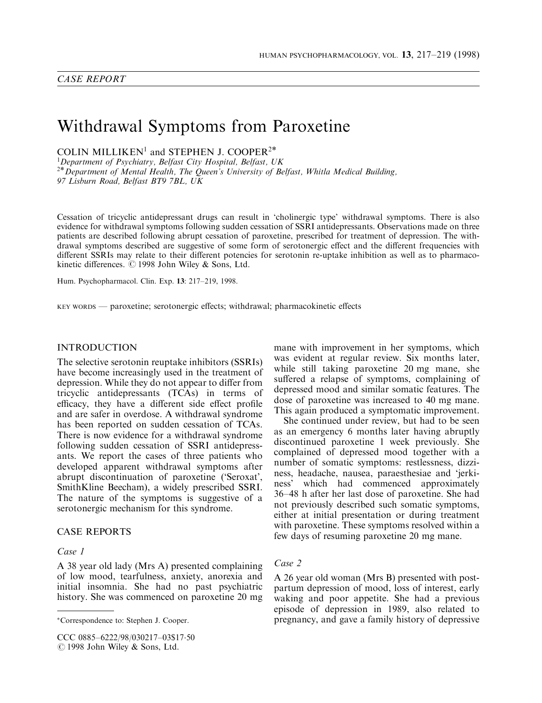# Withdrawal Symptoms from Paroxetine

COLIN MILLIKEN<sup>1</sup> and STEPHEN J. COOPER<sup>2\*</sup>

<sup>1</sup>Department of Psychiatry, Belfast City Hospital, Belfast, UK  $2*$  Department of Mental Health, The Queen's University of Belfast, Whitla Medical Building, 97 Lisburn Road, Belfast BT9 7BL, UK

Cessation of tricyclic antidepressant drugs can result in `cholinergic type' withdrawal symptoms. There is also evidence for withdrawal symptoms following sudden cessation of SSRI antidepressants. Observations made on three patients are described following abrupt cessation of paroxetine, prescribed for treatment of depression. The withdrawal symptoms described are suggestive of some form of serotonergic effect and the different frequencies with different SSRIs may relate to their different potencies for serotonin re-uptake inhibition as well as to pharmacokinetic differences.  $\odot$  1998 John Wiley & Sons, Ltd.

Hum. Psychopharmacol. Clin. Exp. 13: 217-219, 1998.

KEY WORDS — paroxetine; serotonergic effects; withdrawal; pharmacokinetic effects

## INTRODUCTION

The selective serotonin reuptake inhibitors (SSRIs) have become increasingly used in the treatment of depression. While they do not appear to differ from tricyclic antidepressants (TCAs) in terms of efficacy, they have a different side effect profile and are safer in overdose. A withdrawal syndrome has been reported on sudden cessation of TCAs. There is now evidence for a withdrawal syndrome following sudden cessation of SSRI antidepressants. We report the cases of three patients who developed apparent withdrawal symptoms after abrupt discontinuation of paroxetine (`Seroxat', SmithKline Beecham), a widely prescribed SSRI. The nature of the symptoms is suggestive of a serotonergic mechanism for this syndrome.

#### CASE REPORTS

#### Case 1

A 38 year old lady (Mrs A) presented complaining of low mood, tearfulness, anxiety, anorexia and initial insomnia. She had no past psychiatric history. She was commenced on paroxetine 20 mg

mane with improvement in her symptoms, which was evident at regular review. Six months later, while still taking paroxetine 20 mg mane, she suffered a relapse of symptoms, complaining of depressed mood and similar somatic features. The dose of paroxetine was increased to 40 mg mane. This again produced a symptomatic improvement.

She continued under review, but had to be seen as an emergency 6 months later having abruptly discontinued paroxetine 1 week previously. She complained of depressed mood together with a number of somatic symptoms: restlessness, dizziness, headache, nausea, paraesthesiae and `jerkiness' which had commenced approximately 36±48 h after her last dose of paroxetine. She had not previously described such somatic symptoms, either at initial presentation or during treatment with paroxetine. These symptoms resolved within a few days of resuming paroxetine 20 mg mane.

## Case 2

A 26 year old woman (Mrs B) presented with postpartum depression of mood, loss of interest, early waking and poor appetite. She had a previous episode of depression in 1989, also related to pregnancy, and gave a family history of depressive

Correspondence to: Stephen J. Cooper.

CCC 0885-6222/98/030217-03\$17.50 C 1998 John Wiley & Sons, Ltd.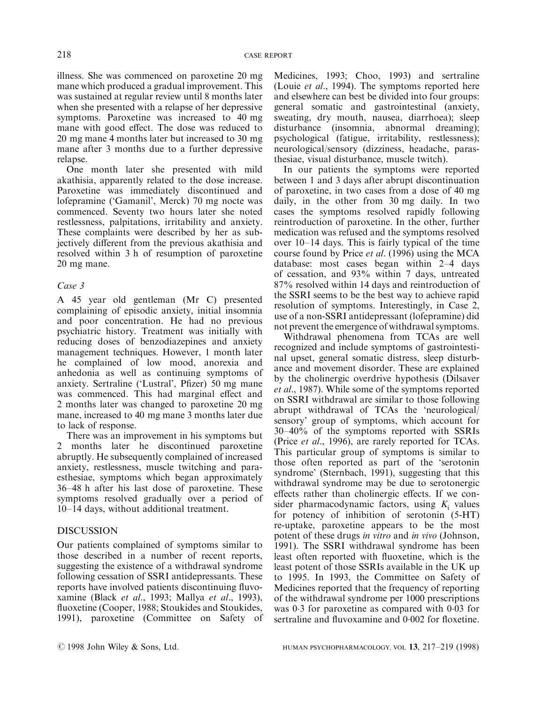illness. She was commenced on paroxetine 20 mg mane which produced a gradual improvement. This was sustained at regular review until 8 months later when she presented with a relapse of her depressive symptoms. Paroxetine was increased to 40 mg mane with good effect. The dose was reduced to 20 mg mane 4 months later but increased to 30 mg mane after 3 months due to a further depressive relapse.

One month later she presented with mild akathisia, apparently related to the dose increase. Paroxetine was immediately discontinued and lofepramine (`Gamanil', Merck) 70 mg nocte was commenced. Seventy two hours later she noted restlessness, palpitations, irritability and anxiety. These complaints were described by her as subjectively different from the previous akathisia and resolved within 3 h of resumption of paroxetine 20 mg mane.

## Case 3

A 45 year old gentleman (Mr C) presented complaining of episodic anxiety, initial insomnia and poor concentration. He had no previous psychiatric history. Treatment was initially with reducing doses of benzodiazepines and anxiety management techniques. However, 1 month later he complained of low mood, anorexia and anhedonia as well as continuing symptoms of anxiety. Sertraline ('Lustral', Pfizer) 50 mg mane was commenced. This had marginal effect and 2 months later was changed to paroxetine 20 mg mane, increased to 40 mg mane 3 months later due to lack of response.

There was an improvement in his symptoms but 2 months later he discontinued paroxetine abruptly. He subsequently complained of increased anxiety, restlessness, muscle twitching and paraesthesiae, symptoms which began approximately 36±48 h after his last dose of paroxetine. These symptoms resolved gradually over a period of 10-14 days, without additional treatment.

## DISCUSSION

Our patients complained of symptoms similar to those described in a number of recent reports, suggesting the existence of a withdrawal syndrome following cessation of SSRI antidepressants. These reports have involved patients discontinuing fluvoxamine (Black et al., 1993; Mallya et al., 1993), fluoxetine (Cooper, 1988; Stoukides and Stoukides, 1991), paroxetine (Committee on Safety of Medicines, 1993; Choo, 1993) and sertraline (Louie et al., 1994). The symptoms reported here and elsewhere can best be divided into four groups: general somatic and gastrointestinal (anxiety, sweating, dry mouth, nausea, diarrhoea); sleep disturbance (insomnia, abnormal dreaming); psychological (fatigue, irritability, restlessness); neurological/sensory (dizziness, headache, parasthesiae, visual disturbance, muscle twitch).

In our patients the symptoms were reported between 1 and 3 days after abrupt discontinuation of paroxetine, in two cases from a dose of 40 mg daily, in the other from 30 mg daily. In two cases the symptoms resolved rapidly following reintroduction of paroxetine. In the other, further medication was refused and the symptoms resolved over  $10-14$  days. This is fairly typical of the time course found by Price et al. (1996) using the MCA database: most cases began within  $2-4$  days of cessation, and 93% within 7 days, untreated 87% resolved within 14 days and reintroduction of the SSRI seems to be the best way to achieve rapid resolution of symptoms. Interestingly, in Case 2, use of a non-SSRI antidepressant (lofepramine) did not prevent the emergence of withdrawal symptoms.

Withdrawal phenomena from TCAs are well recognized and include symptoms of gastrointestinal upset, general somatic distress, sleep disturbance and movement disorder. These are explained by the cholinergic overdrive hypothesis (Dilsaver et al., 1987). While some of the symptoms reported on SSRI withdrawal are similar to those following abrupt withdrawal of TCAs the `neurological/ sensory' group of symptoms, which account for  $30-40\%$  of the symptoms reported with SSRIs (Price et al., 1996), are rarely reported for TCAs. This particular group of symptoms is similar to those often reported as part of the `serotonin syndrome' (Sternbach, 1991), suggesting that this withdrawal syndrome may be due to serotonergic effects rather than cholinergic effects. If we consider pharmacodynamic factors, using  $K_i$  values for potency of inhibition of serotonin (5-HT) re-uptake, paroxetine appears to be the most potent of these drugs in vitro and in vivo (Johnson, 1991). The SSRI withdrawal syndrome has been least often reported with fluoxetine, which is the least potent of those SSRIs available in the UK up to 1995. In 1993, the Committee on Safety of Medicines reported that the frequency of reporting of the withdrawal syndrome per 1000 prescriptions was 0.3 for paroxetine as compared with 0.03 for sertraline and fluvoxamine and  $0.002$  for floxetine.